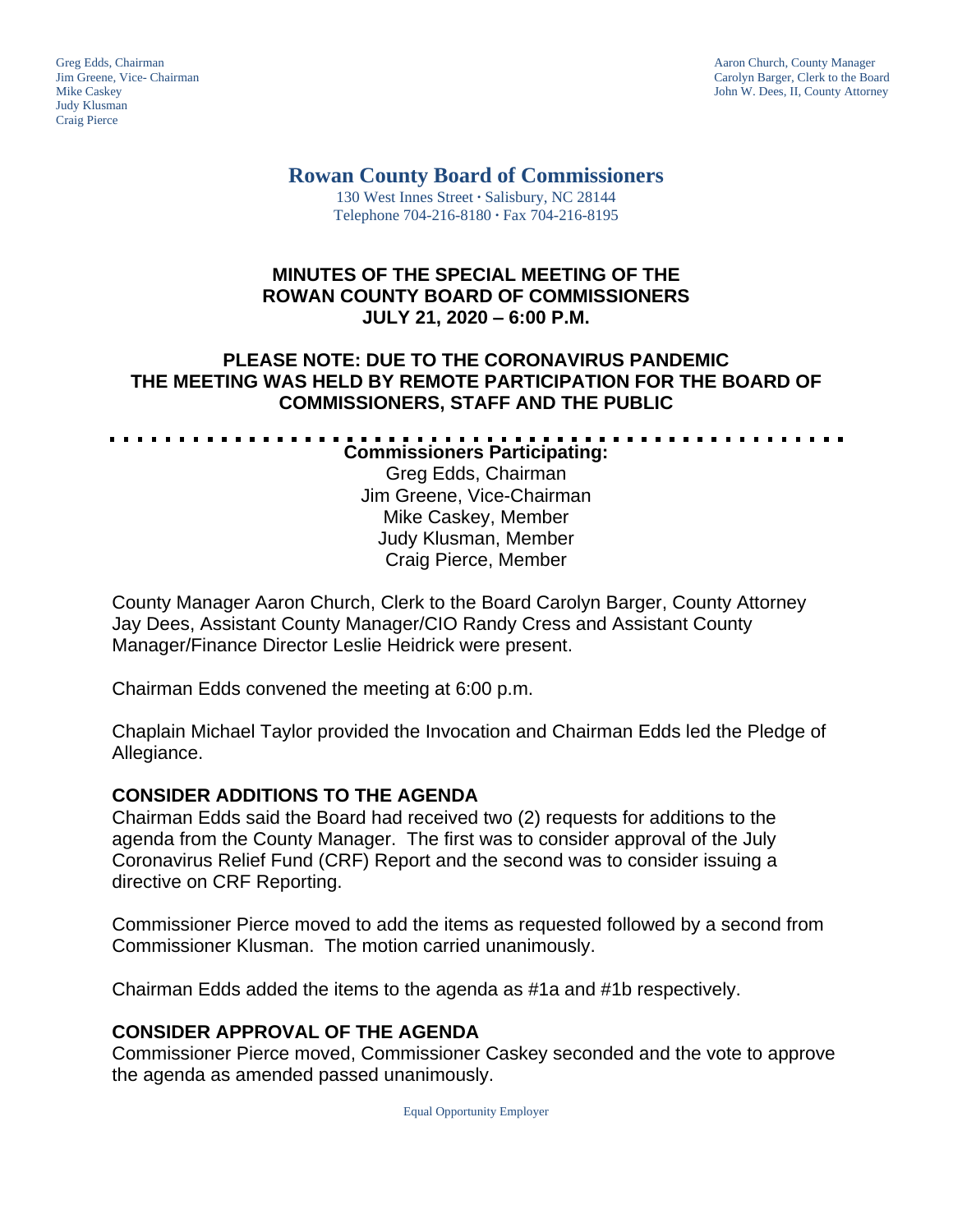Judy Klusman Craig Pierce

Greg Edds, Chairman Aaron Church, County Manager<br>
1989 - Garolyn Barger, Clerk to the Boa<br>
Carolyn Barger, Clerk to the Boa Jim Greene, Vice- Chairman Carolyn Barger, Clerk to the Board John W. Dees, II, County Attorney

#### **Rowan County Board of Commissioners** 130 West Innes Street **∙** Salisbury, NC 28144

Telephone 704-216-8180 **∙** Fax 704-216-8195

# **MINUTES OF THE SPECIAL MEETING OF THE ROWAN COUNTY BOARD OF COMMISSIONERS JULY 21, 2020 – 6:00 P.M.**

# **PLEASE NOTE: DUE TO THE CORONAVIRUS PANDEMIC THE MEETING WAS HELD BY REMOTE PARTICIPATION FOR THE BOARD OF COMMISSIONERS, STAFF AND THE PUBLIC**

**Commissioners Participating:** Greg Edds, Chairman Jim Greene, Vice-Chairman Mike Caskey, Member Judy Klusman, Member Craig Pierce, Member

County Manager Aaron Church, Clerk to the Board Carolyn Barger, County Attorney Jay Dees, Assistant County Manager/CIO Randy Cress and Assistant County Manager/Finance Director Leslie Heidrick were present.

Chairman Edds convened the meeting at 6:00 p.m.

Chaplain Michael Taylor provided the Invocation and Chairman Edds led the Pledge of Allegiance.

# **CONSIDER ADDITIONS TO THE AGENDA**

Chairman Edds said the Board had received two (2) requests for additions to the agenda from the County Manager. The first was to consider approval of the July Coronavirus Relief Fund (CRF) Report and the second was to consider issuing a directive on CRF Reporting.

Commissioner Pierce moved to add the items as requested followed by a second from Commissioner Klusman. The motion carried unanimously.

Chairman Edds added the items to the agenda as #1a and #1b respectively.

# **CONSIDER APPROVAL OF THE AGENDA**

Commissioner Pierce moved, Commissioner Caskey seconded and the vote to approve the agenda as amended passed unanimously.

Equal Opportunity Employer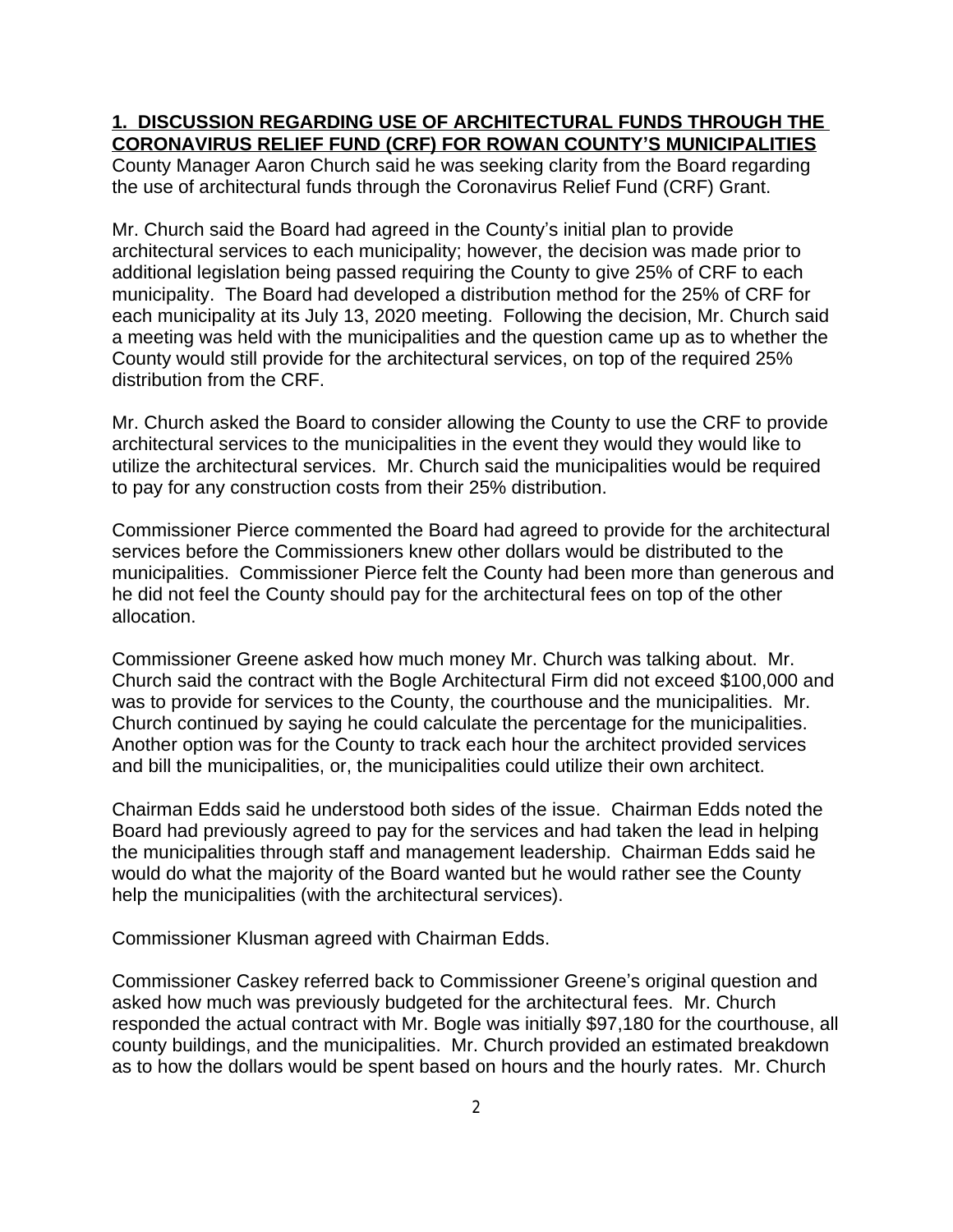# **1. DISCUSSION REGARDING USE OF ARCHITECTURAL FUNDS THROUGH THE CORONAVIRUS RELIEF FUND (CRF) FOR ROWAN COUNTY'S MUNICIPALITIES**

County Manager Aaron Church said he was seeking clarity from the Board regarding the use of architectural funds through the Coronavirus Relief Fund (CRF) Grant.

Mr. Church said the Board had agreed in the County's initial plan to provide architectural services to each municipality; however, the decision was made prior to additional legislation being passed requiring the County to give 25% of CRF to each municipality. The Board had developed a distribution method for the 25% of CRF for each municipality at its July 13, 2020 meeting. Following the decision, Mr. Church said a meeting was held with the municipalities and the question came up as to whether the County would still provide for the architectural services, on top of the required 25% distribution from the CRF.

Mr. Church asked the Board to consider allowing the County to use the CRF to provide architectural services to the municipalities in the event they would they would like to utilize the architectural services. Mr. Church said the municipalities would be required to pay for any construction costs from their 25% distribution.

Commissioner Pierce commented the Board had agreed to provide for the architectural services before the Commissioners knew other dollars would be distributed to the municipalities. Commissioner Pierce felt the County had been more than generous and he did not feel the County should pay for the architectural fees on top of the other allocation.

Commissioner Greene asked how much money Mr. Church was talking about. Mr. Church said the contract with the Bogle Architectural Firm did not exceed \$100,000 and was to provide for services to the County, the courthouse and the municipalities. Mr. Church continued by saying he could calculate the percentage for the municipalities. Another option was for the County to track each hour the architect provided services and bill the municipalities, or, the municipalities could utilize their own architect.

Chairman Edds said he understood both sides of the issue. Chairman Edds noted the Board had previously agreed to pay for the services and had taken the lead in helping the municipalities through staff and management leadership. Chairman Edds said he would do what the majority of the Board wanted but he would rather see the County help the municipalities (with the architectural services).

Commissioner Klusman agreed with Chairman Edds.

Commissioner Caskey referred back to Commissioner Greene's original question and asked how much was previously budgeted for the architectural fees. Mr. Church responded the actual contract with Mr. Bogle was initially \$97,180 for the courthouse, all county buildings, and the municipalities. Mr. Church provided an estimated breakdown as to how the dollars would be spent based on hours and the hourly rates. Mr. Church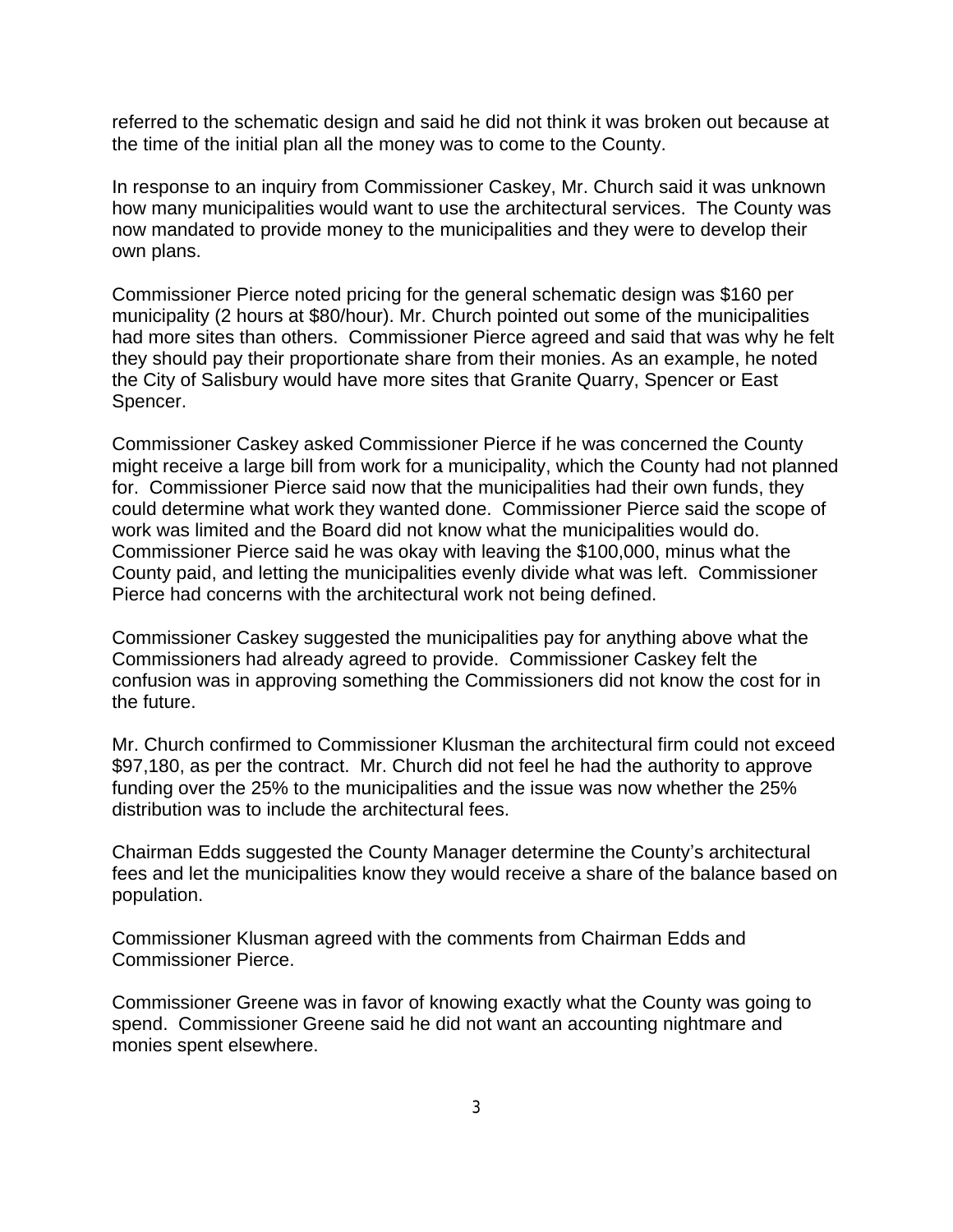referred to the schematic design and said he did not think it was broken out because at the time of the initial plan all the money was to come to the County.

In response to an inquiry from Commissioner Caskey, Mr. Church said it was unknown how many municipalities would want to use the architectural services. The County was now mandated to provide money to the municipalities and they were to develop their own plans.

Commissioner Pierce noted pricing for the general schematic design was \$160 per municipality (2 hours at \$80/hour). Mr. Church pointed out some of the municipalities had more sites than others. Commissioner Pierce agreed and said that was why he felt they should pay their proportionate share from their monies. As an example, he noted the City of Salisbury would have more sites that Granite Quarry, Spencer or East Spencer.

Commissioner Caskey asked Commissioner Pierce if he was concerned the County might receive a large bill from work for a municipality, which the County had not planned for. Commissioner Pierce said now that the municipalities had their own funds, they could determine what work they wanted done. Commissioner Pierce said the scope of work was limited and the Board did not know what the municipalities would do. Commissioner Pierce said he was okay with leaving the \$100,000, minus what the County paid, and letting the municipalities evenly divide what was left. Commissioner Pierce had concerns with the architectural work not being defined.

Commissioner Caskey suggested the municipalities pay for anything above what the Commissioners had already agreed to provide. Commissioner Caskey felt the confusion was in approving something the Commissioners did not know the cost for in the future.

Mr. Church confirmed to Commissioner Klusman the architectural firm could not exceed \$97,180, as per the contract. Mr. Church did not feel he had the authority to approve funding over the 25% to the municipalities and the issue was now whether the 25% distribution was to include the architectural fees.

Chairman Edds suggested the County Manager determine the County's architectural fees and let the municipalities know they would receive a share of the balance based on population.

Commissioner Klusman agreed with the comments from Chairman Edds and Commissioner Pierce.

Commissioner Greene was in favor of knowing exactly what the County was going to spend. Commissioner Greene said he did not want an accounting nightmare and monies spent elsewhere.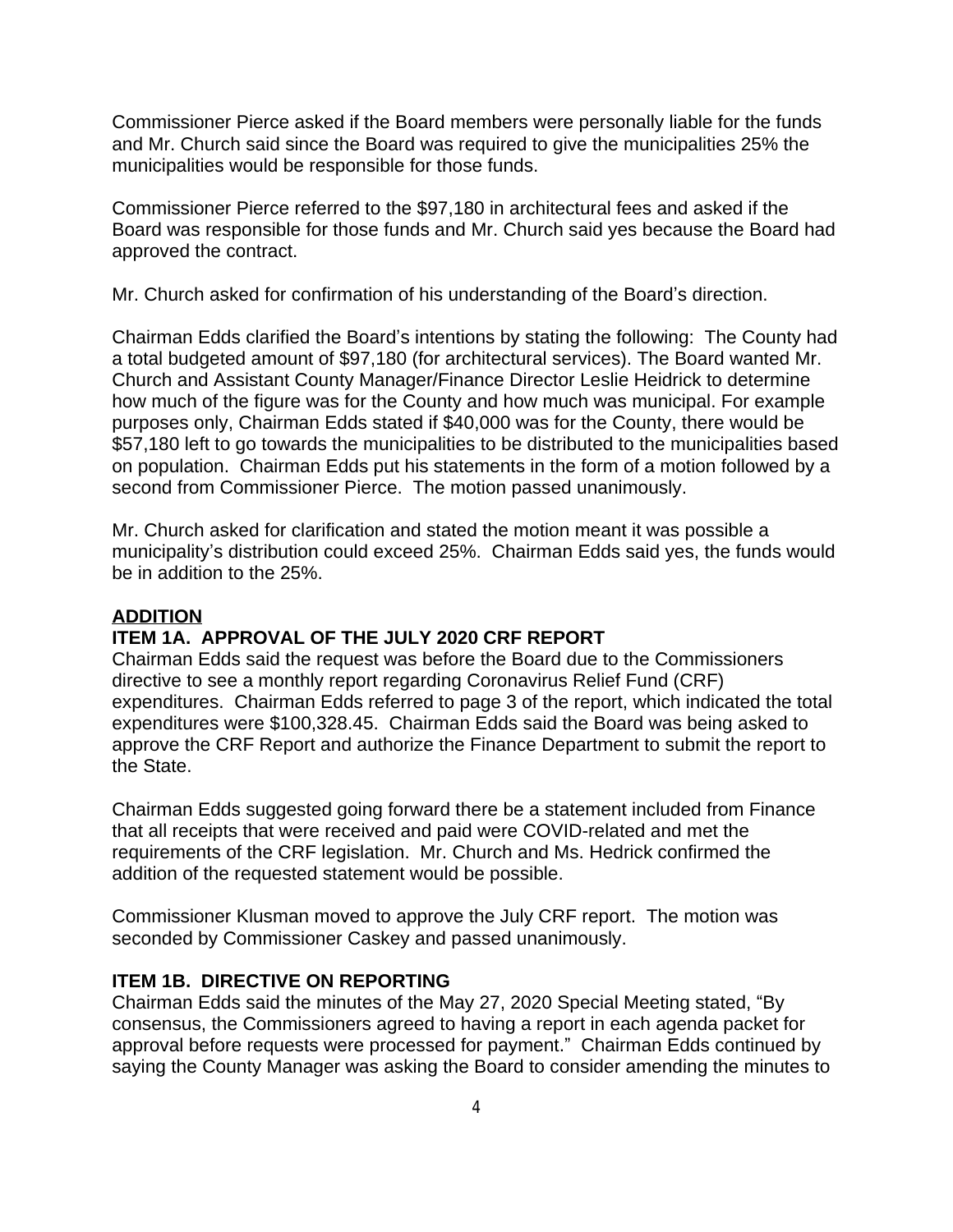Commissioner Pierce asked if the Board members were personally liable for the funds and Mr. Church said since the Board was required to give the municipalities 25% the municipalities would be responsible for those funds.

Commissioner Pierce referred to the \$97,180 in architectural fees and asked if the Board was responsible for those funds and Mr. Church said yes because the Board had approved the contract.

Mr. Church asked for confirmation of his understanding of the Board's direction.

Chairman Edds clarified the Board's intentions by stating the following: The County had a total budgeted amount of \$97,180 (for architectural services). The Board wanted Mr. Church and Assistant County Manager/Finance Director Leslie Heidrick to determine how much of the figure was for the County and how much was municipal. For example purposes only, Chairman Edds stated if \$40,000 was for the County, there would be \$57,180 left to go towards the municipalities to be distributed to the municipalities based on population. Chairman Edds put his statements in the form of a motion followed by a second from Commissioner Pierce. The motion passed unanimously.

Mr. Church asked for clarification and stated the motion meant it was possible a municipality's distribution could exceed 25%. Chairman Edds said yes, the funds would be in addition to the 25%.

#### **ADDITION**

### **ITEM 1A. APPROVAL OF THE JULY 2020 CRF REPORT**

Chairman Edds said the request was before the Board due to the Commissioners directive to see a monthly report regarding Coronavirus Relief Fund (CRF) expenditures. Chairman Edds referred to page 3 of the report, which indicated the total expenditures were \$100,328.45. Chairman Edds said the Board was being asked to approve the CRF Report and authorize the Finance Department to submit the report to the State.

Chairman Edds suggested going forward there be a statement included from Finance that all receipts that were received and paid were COVID-related and met the requirements of the CRF legislation. Mr. Church and Ms. Hedrick confirmed the addition of the requested statement would be possible.

Commissioner Klusman moved to approve the July CRF report. The motion was seconded by Commissioner Caskey and passed unanimously.

### **ITEM 1B. DIRECTIVE ON REPORTING**

Chairman Edds said the minutes of the May 27, 2020 Special Meeting stated, "By consensus, the Commissioners agreed to having a report in each agenda packet for approval before requests were processed for payment." Chairman Edds continued by saying the County Manager was asking the Board to consider amending the minutes to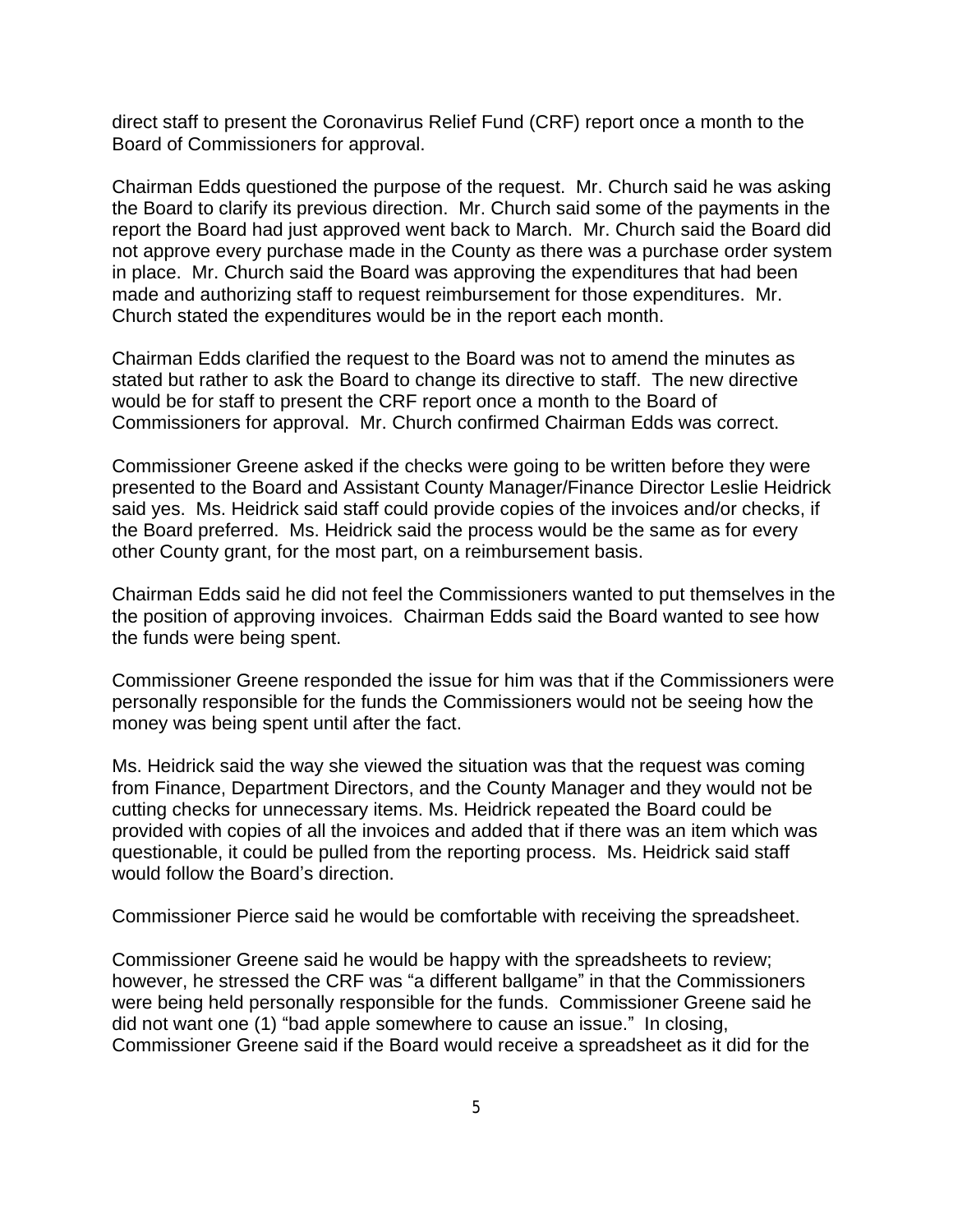direct staff to present the Coronavirus Relief Fund (CRF) report once a month to the Board of Commissioners for approval.

Chairman Edds questioned the purpose of the request. Mr. Church said he was asking the Board to clarify its previous direction. Mr. Church said some of the payments in the report the Board had just approved went back to March. Mr. Church said the Board did not approve every purchase made in the County as there was a purchase order system in place. Mr. Church said the Board was approving the expenditures that had been made and authorizing staff to request reimbursement for those expenditures. Mr. Church stated the expenditures would be in the report each month.

Chairman Edds clarified the request to the Board was not to amend the minutes as stated but rather to ask the Board to change its directive to staff. The new directive would be for staff to present the CRF report once a month to the Board of Commissioners for approval. Mr. Church confirmed Chairman Edds was correct.

Commissioner Greene asked if the checks were going to be written before they were presented to the Board and Assistant County Manager/Finance Director Leslie Heidrick said yes. Ms. Heidrick said staff could provide copies of the invoices and/or checks, if the Board preferred. Ms. Heidrick said the process would be the same as for every other County grant, for the most part, on a reimbursement basis.

Chairman Edds said he did not feel the Commissioners wanted to put themselves in the the position of approving invoices. Chairman Edds said the Board wanted to see how the funds were being spent.

Commissioner Greene responded the issue for him was that if the Commissioners were personally responsible for the funds the Commissioners would not be seeing how the money was being spent until after the fact.

Ms. Heidrick said the way she viewed the situation was that the request was coming from Finance, Department Directors, and the County Manager and they would not be cutting checks for unnecessary items. Ms. Heidrick repeated the Board could be provided with copies of all the invoices and added that if there was an item which was questionable, it could be pulled from the reporting process. Ms. Heidrick said staff would follow the Board's direction.

Commissioner Pierce said he would be comfortable with receiving the spreadsheet.

Commissioner Greene said he would be happy with the spreadsheets to review; however, he stressed the CRF was "a different ballgame" in that the Commissioners were being held personally responsible for the funds. Commissioner Greene said he did not want one (1) "bad apple somewhere to cause an issue." In closing, Commissioner Greene said if the Board would receive a spreadsheet as it did for the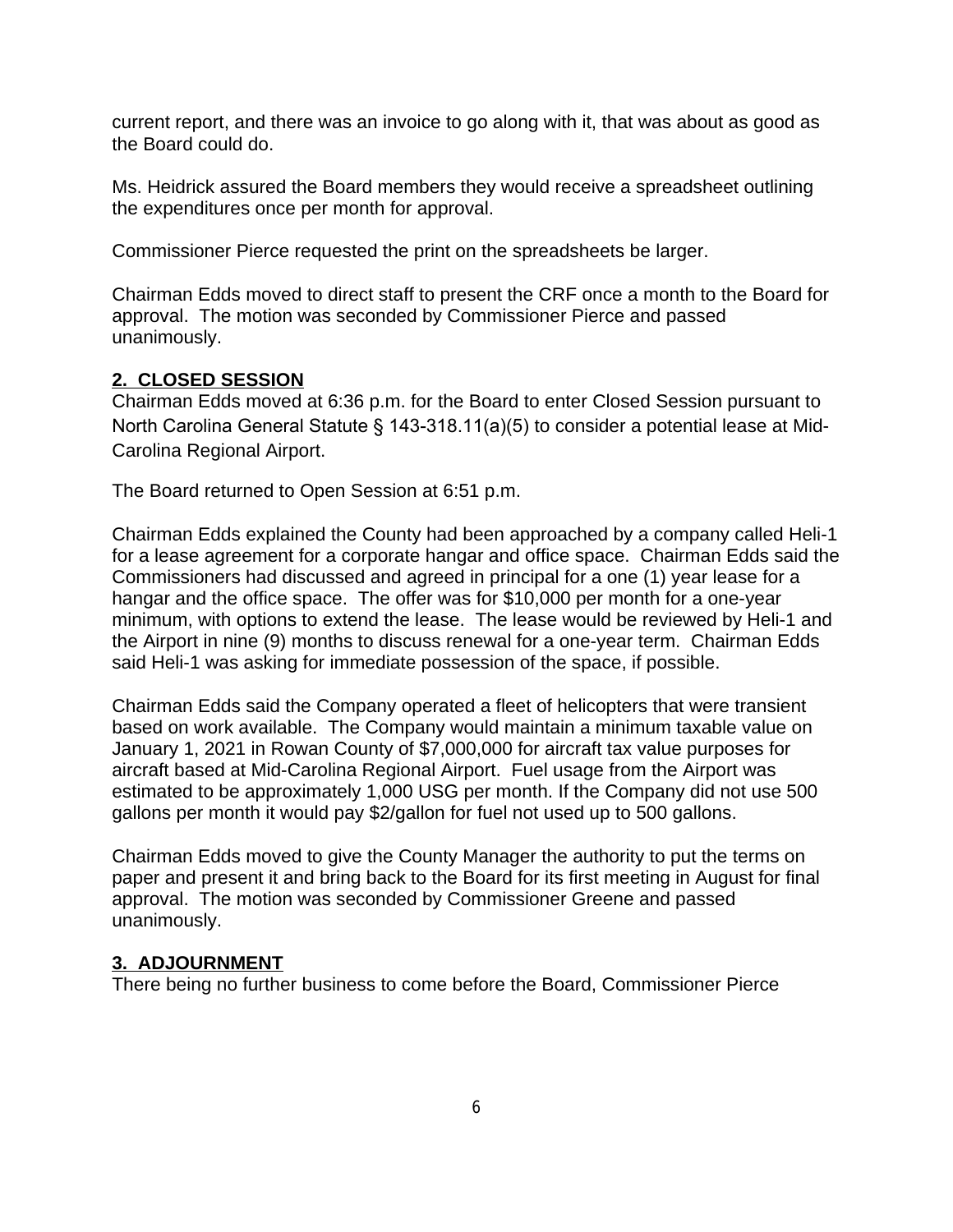current report, and there was an invoice to go along with it, that was about as good as the Board could do.

Ms. Heidrick assured the Board members they would receive a spreadsheet outlining the expenditures once per month for approval.

Commissioner Pierce requested the print on the spreadsheets be larger.

Chairman Edds moved to direct staff to present the CRF once a month to the Board for approval. The motion was seconded by Commissioner Pierce and passed unanimously.

# **2. CLOSED SESSION**

Chairman Edds moved at 6:36 p.m. for the Board to enter Closed Session pursuant to North Carolina General Statute § 143-318.11(a)(5) to consider a potential lease at Mid-Carolina Regional Airport.

The Board returned to Open Session at 6:51 p.m.

Chairman Edds explained the County had been approached by a company called Heli-1 for a lease agreement for a corporate hangar and office space. Chairman Edds said the Commissioners had discussed and agreed in principal for a one (1) year lease for a hangar and the office space. The offer was for \$10,000 per month for a one-year minimum, with options to extend the lease. The lease would be reviewed by Heli-1 and the Airport in nine (9) months to discuss renewal for a one-year term. Chairman Edds said Heli-1 was asking for immediate possession of the space, if possible.

Chairman Edds said the Company operated a fleet of helicopters that were transient based on work available. The Company would maintain a minimum taxable value on January 1, 2021 in Rowan County of \$7,000,000 for aircraft tax value purposes for aircraft based at Mid-Carolina Regional Airport. Fuel usage from the Airport was estimated to be approximately 1,000 USG per month. If the Company did not use 500 gallons per month it would pay \$2/gallon for fuel not used up to 500 gallons.

Chairman Edds moved to give the County Manager the authority to put the terms on paper and present it and bring back to the Board for its first meeting in August for final approval. The motion was seconded by Commissioner Greene and passed unanimously.

# **3. ADJOURNMENT**

There being no further business to come before the Board, Commissioner Pierce